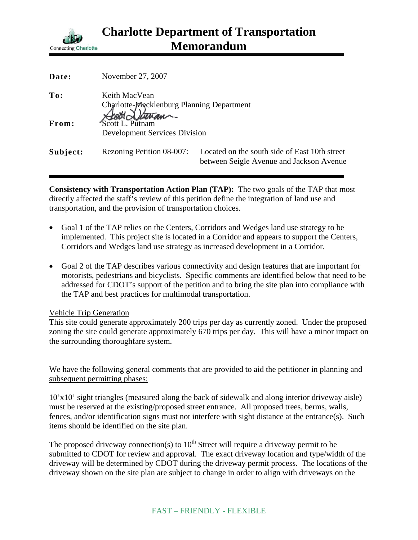

| Date:    | November 27, 2007                                                                                                     |                                                                                           |
|----------|-----------------------------------------------------------------------------------------------------------------------|-------------------------------------------------------------------------------------------|
| To:      | Keith MacVean<br>Charlotte-Mecklenburg Planning Department<br>Scott L. Putnam<br><b>Development Services Division</b> |                                                                                           |
| From:    |                                                                                                                       |                                                                                           |
| Subject: | Rezoning Petition 08-007:                                                                                             | Located on the south side of East 10th street<br>between Seigle Avenue and Jackson Avenue |

**Consistency with Transportation Action Plan (TAP):** The two goals of the TAP that most directly affected the staff's review of this petition define the integration of land use and transportation, and the provision of transportation choices.

- Goal 1 of the TAP relies on the Centers, Corridors and Wedges land use strategy to be implemented. This project site is located in a Corridor and appears to support the Centers, Corridors and Wedges land use strategy as increased development in a Corridor.
- Goal 2 of the TAP describes various connectivity and design features that are important for motorists, pedestrians and bicyclists. Specific comments are identified below that need to be addressed for CDOT's support of the petition and to bring the site plan into compliance with the TAP and best practices for multimodal transportation.

## Vehicle Trip Generation

This site could generate approximately 200 trips per day as currently zoned. Under the proposed zoning the site could generate approximately 670 trips per day. This will have a minor impact on the surrounding thoroughfare system.

We have the following general comments that are provided to aid the petitioner in planning and subsequent permitting phases:

10'x10' sight triangles (measured along the back of sidewalk and along interior driveway aisle) must be reserved at the existing/proposed street entrance. All proposed trees, berms, walls, fences, and/or identification signs must not interfere with sight distance at the entrance(s). Such items should be identified on the site plan.

The proposed driveway connection(s) to  $10<sup>th</sup>$  Street will require a driveway permit to be submitted to CDOT for review and approval. The exact driveway location and type/width of the driveway will be determined by CDOT during the driveway permit process. The locations of the driveway shown on the site plan are subject to change in order to align with driveways on the